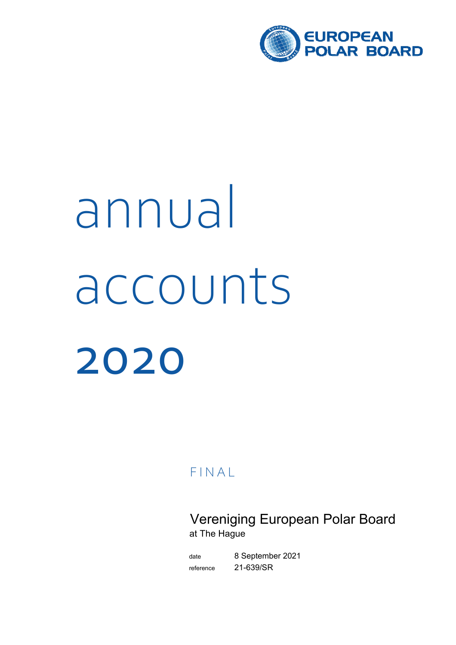

# accounts 2020 annual

**FINAL** 

Vereniging European Polar Board at The Hague

date 8 September 2021 reference 21-639/SR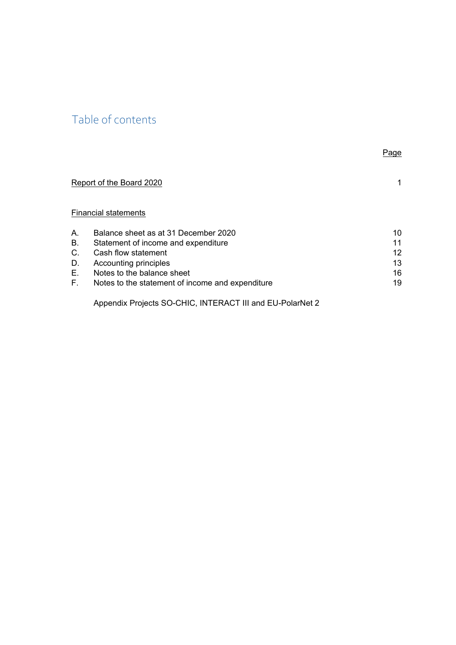# Table of contents

|           |                                                  | Page        |
|-----------|--------------------------------------------------|-------------|
|           | Report of the Board 2020                         | $\mathbf 1$ |
|           | <b>Financial statements</b>                      |             |
| Α.        | Balance sheet as at 31 December 2020             | 10          |
| <b>B.</b> | Statement of income and expenditure              | 11          |
| C.        | Cash flow statement                              | 12          |
| D.        | Accounting principles                            | 13          |
| Е.        | Notes to the balance sheet                       | 16          |
| F.        | Notes to the statement of income and expenditure | 19          |
|           |                                                  |             |

Appendix Projects SO-CHIC, INTERACT III and EU-PolarNet 2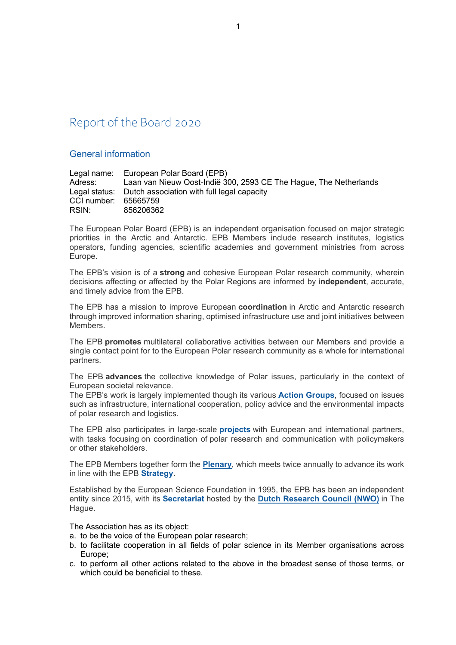## Report of the Board 2020

#### General information

|                      | Legal name: European Polar Board (EPB)                            |
|----------------------|-------------------------------------------------------------------|
| Adress:              | Laan van Nieuw Oost-Indië 300, 2593 CE The Hague, The Netherlands |
|                      | Legal status: Dutch association with full legal capacity          |
| CCI number: 65665759 |                                                                   |
| RSIN:                | 856206362                                                         |

The European Polar Board (EPB) is an independent organisation focused on major strategic priorities in the Arctic and Antarctic. EPB Members include research institutes, logistics operators, funding agencies, scientific academies and government ministries from across Europe.

The EPB's vision is of a **strong** and cohesive European Polar research community, wherein decisions affecting or affected by the Polar Regions are informed by **independent**, accurate, and timely advice from the EPB.

The EPB has a mission to improve European **coordination** in Arctic and Antarctic research through improved information sharing, optimised infrastructure use and joint initiatives between **Members** 

The EPB **promotes** multilateral collaborative activities between our Members and provide a single contact point for to the European Polar research community as a whole for international partners.

The EPB **advances** the collective knowledge of Polar issues, particularly in the context of European societal relevance.

The EPB's work is largely implemented though its various **Action Groups**, focused on issues such as infrastructure, international cooperation, policy advice and the environmental impacts of polar research and logistics.

The EPB also participates in large-scale **projects** with European and international partners, with tasks focusing on coordination of polar research and communication with policymakers or other stakeholders.

The EPB Members together form the **Plenary**, which meets twice annually to advance its work in line with the EPB **Strategy**.

Established by the European Science Foundation in 1995, the EPB has been an independent entity since 2015, with its **Secretariat** hosted by the **Dutch Research Council (NWO)** in The Hague.

The Association has as its object:

- a. to be the voice of the European polar research;
- b. to facilitate cooperation in all fields of polar science in its Member organisations across Europe;
- c. to perform all other actions related to the above in the broadest sense of those terms, or which could be beneficial to these.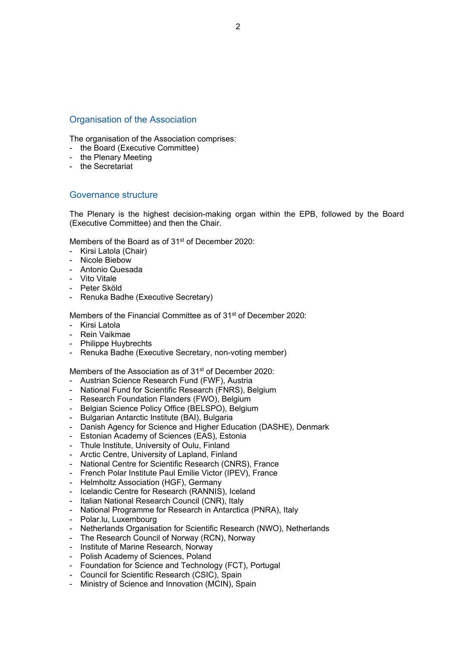#### Organisation of the Association

The organisation of the Association comprises:

- the Board (Executive Committee)
- the Plenary Meeting
- the Secretariat

#### Governance structure

The Plenary is the highest decision-making organ within the EPB, followed by the Board (Executive Committee) and then the Chair.

Members of the Board as of 31<sup>st</sup> of December 2020:

- Kirsi Latola (Chair)
- Nicole Biebow
- Antonio Quesada
- Vito Vitale
- Peter Sköld
- Renuka Badhe (Executive Secretary)

Members of the Financial Committee as of 31<sup>st</sup> of December 2020:

- Kirsi Latola
- Rein Vaikmae
- Philippe Huybrechts
- Renuka Badhe (Executive Secretary, non-voting member)

Members of the Association as of 31<sup>st</sup> of December 2020:

- Austrian Science Research Fund (FWF), Austria
- National Fund for Scientific Research (FNRS), Belgium
- Research Foundation Flanders (FWO), Belgium
- Belgian Science Policy Office (BELSPO), Belgium
- Bulgarian Antarctic Institute (BAI), Bulgaria
- Danish Agency for Science and Higher Education (DASHE), Denmark
- Estonian Academy of Sciences (EAS), Estonia
- Thule Institute, University of Oulu, Finland
- Arctic Centre, University of Lapland, Finland
- National Centre for Scientific Research (CNRS), France
- French Polar Institute Paul Emilie Victor (IPEV), France
- Helmholtz Association (HGF), Germany
- Icelandic Centre for Research (RANNIS), Iceland
- Italian National Research Council (CNR), Italy
- National Programme for Research in Antarctica (PNRA), Italy
- Polar.lu, Luxembourg
- Netherlands Organisation for Scientific Research (NWO), Netherlands
- The Research Council of Norway (RCN), Norway
- Institute of Marine Research, Norway
- Polish Academy of Sciences, Poland
- Foundation for Science and Technology (FCT), Portugal
- Council for Scientific Research (CSIC), Spain
- Ministry of Science and Innovation (MCIN), Spain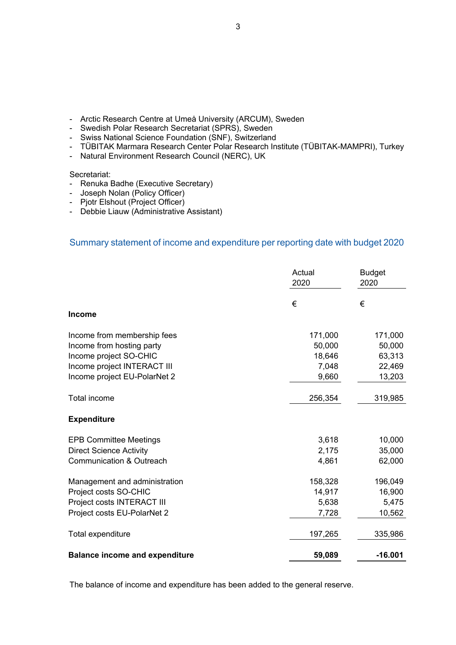- Arctic Research Centre at Umeå University (ARCUM), Sweden - Swedish Polar Research Secretariat (SPRS), Sweden

Swiss National Science Foundation (SNF), Switzerland

- Natural Environment Research Council (NERC), UK

- Renuka Badhe (Executive Secretary) Joseph Nolan (Policy Officer) Pjotr Elshout (Project Officer)

- Debbie Liauw (Administrative Assistant)

Secretariat:

**Income** 

**Expenditure**

3

- TÜBITAK Marmara Research Center Polar Research Institute (TÜBITAK-MAMPRI), Turkey

Summary statement of income and expenditure per reporting date with budget 2020

Income from membership fees 171,000 171,000 Income from hosting party **1000 10000 10000 10000 10000 10000** 50,000 50,000 Income project SO-CHIC 18,646 63,313 Income project INTERACT III 7,048 22,469 Income project EU-PolarNet 2 9,660 9,660 13,203

Total income 256,354 319,985

EPB Committee Meetings 3,618 10,000 Direct Science Activity 2,175 35,000 Communication & Outreach 62,000

Management and administration 158,328 196,049 Project costs SO-CHIC **14,917** 16,900 Project costs INTERACT III 6,638 5,475 Project costs EU-PolarNet 2 **7,728** 10,562

Total expenditure 197,265 335,986

**Balance income and expenditure 60 and 59,089 contract 16.001** 

The balance of income and expenditure has been added to the general reserve.

Actual **Budget** 2020 2020

€ €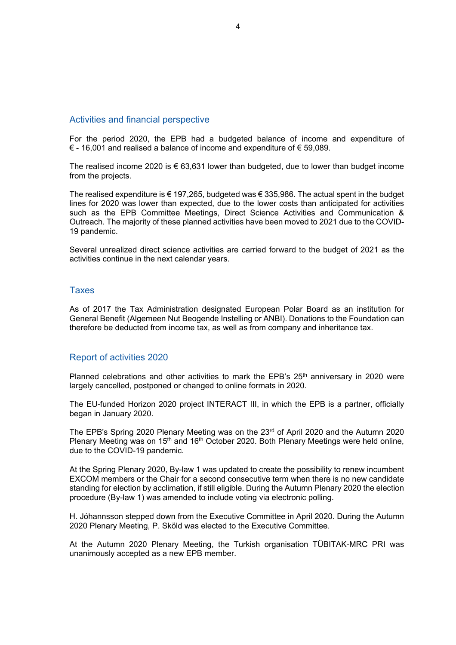#### Activities and financial perspective

For the period 2020, the EPB had a budgeted balance of income and expenditure of € - 16,001 and realised a balance of income and expenditure of € 59,089.

The realised income 2020 is  $\epsilon$  63,631 lower than budgeted, due to lower than budget income from the projects.

The realised expenditure is  $\epsilon$  197,265, budgeted was  $\epsilon$  335,986. The actual spent in the budget lines for 2020 was lower than expected, due to the lower costs than anticipated for activities such as the EPB Committee Meetings, Direct Science Activities and Communication & Outreach. The majority of these planned activities have been moved to 2021 due to the COVID-19 pandemic.

Several unrealized direct science activities are carried forward to the budget of 2021 as the activities continue in the next calendar years.

#### Taxes

As of 2017 the Tax Administration designated European Polar Board as an institution for General Benefit (Algemeen Nut Beogende Instelling or ANBI). Donations to the Foundation can therefore be deducted from income tax, as well as from company and inheritance tax.

#### Report of activities 2020

Planned celebrations and other activities to mark the EPB's  $25<sup>th</sup>$  anniversary in 2020 were largely cancelled, postponed or changed to online formats in 2020.

The EU-funded Horizon 2020 project INTERACT III, in which the EPB is a partner, officially began in January 2020.

The EPB's Spring 2020 Plenary Meeting was on the 23rd of April 2020 and the Autumn 2020 Plenary Meeting was on 15<sup>th</sup> and 16<sup>th</sup> October 2020. Both Plenary Meetings were held online, due to the COVID-19 pandemic.

At the Spring Plenary 2020, By-law 1 was updated to create the possibility to renew incumbent EXCOM members or the Chair for a second consecutive term when there is no new candidate standing for election by acclimation, if still eligible. During the Autumn Plenary 2020 the election procedure (By-law 1) was amended to include voting via electronic polling.

H. Jóhannsson stepped down from the Executive Committee in April 2020. During the Autumn 2020 Plenary Meeting, P. Sköld was elected to the Executive Committee.

At the Autumn 2020 Plenary Meeting, the Turkish organisation TÜBITAK-MRC PRI was unanimously accepted as a new EPB member.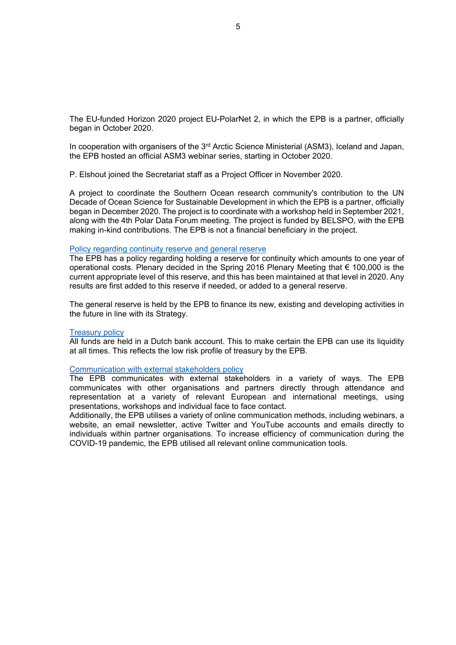The EU-funded Horizon 2020 project EU-PolarNet 2, in which the EPB is a partner, officially began in October 2020.

In cooperation with organisers of the 3<sup>rd</sup> Arctic Science Ministerial (ASM3), Iceland and Japan, the EPB hosted an official ASM3 webinar series, starting in October 2020.

P. Elshout joined the Secretariat staff as a Project Officer in November 2020.

A project to coordinate the Southern Ocean research community's contribution to the UN Decade of Ocean Science for Sustainable Development in which the EPB is a partner, officially began in December 2020. The project is to coordinate with a workshop held in September 2021, along with the 4th Polar Data Forum meeting. The project is funded by BELSPO, with the EPB making in-kind contributions. The EPB is not a financial beneficiary in the project.

#### Policy regarding continuity reserve and general reserve

The EPB has a policy regarding holding a reserve for continuity which amounts to one year of operational costs. Plenary decided in the Spring 2016 Plenary Meeting that € 100,000 is the current appropriate level of this reserve, and this has been maintained at that level in 2020. Any results are first added to this reserve if needed, or added to a general reserve.

The general reserve is held by the EPB to finance its new, existing and developing activities in the future in line with its Strategy.

#### Treasury policy

All funds are held in a Dutch bank account. This to make certain the EPB can use its liquidity at all times. This reflects the low risk profile of treasury by the EPB.

#### Communication with external stakeholders policy

The EPB communicates with external stakeholders in a variety of ways. The EPB communicates with other organisations and partners directly through attendance and representation at a variety of relevant European and international meetings, using presentations, workshops and individual face to face contact.

Additionally, the EPB utilises a variety of online communication methods, including webinars, a website, an email newsletter, active Twitter and YouTube accounts and emails directly to individuals within partner organisations. To increase efficiency of communication during the COVID-19 pandemic, the EPB utilised all relevant online communication tools.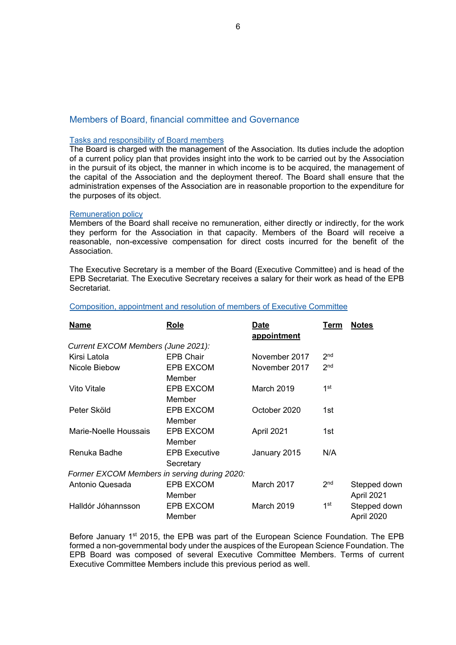#### Members of Board, financial committee and Governance

#### Tasks and responsibility of Board members

The Board is charged with the management of the Association. Its duties include the adoption of a current policy plan that provides insight into the work to be carried out by the Association in the pursuit of its object, the manner in which income is to be acquired, the management of the capital of the Association and the deployment thereof. The Board shall ensure that the administration expenses of the Association are in reasonable proportion to the expenditure for the purposes of its object.

#### Remuneration policy

Members of the Board shall receive no remuneration, either directly or indirectly, for the work they perform for the Association in that capacity. Members of the Board will receive a reasonable, non-excessive compensation for direct costs incurred for the benefit of the Association.

The Executive Secretary is a member of the Board (Executive Committee) and is head of the EPB Secretariat. The Executive Secretary receives a salary for their work as head of the EPB Secretariat.

| <b>Name</b>                                  | Role                              | Date<br>appointment | Term            | <b>Notes</b>               |
|----------------------------------------------|-----------------------------------|---------------------|-----------------|----------------------------|
| Current EXCOM Members (June 2021):           |                                   |                     |                 |                            |
| Kirsi Latola                                 | <b>EPB Chair</b>                  | November 2017       | 2 <sub>nd</sub> |                            |
| Nicole Biebow                                | EPB EXCOM<br>Member               | November 2017       | 2 <sub>nd</sub> |                            |
| Vito Vitale                                  | EPB EXCOM<br>Member               | <b>March 2019</b>   | 1st             |                            |
| Peter Sköld                                  | EPB EXCOM<br>Member               | October 2020        | 1st             |                            |
| Marie-Noelle Houssais                        | EPB EXCOM<br>Member               | April 2021          | 1st             |                            |
| Renuka Badhe                                 | <b>EPB Executive</b><br>Secretary | January 2015        | N/A             |                            |
| Former EXCOM Members in serving during 2020: |                                   |                     |                 |                            |
| Antonio Quesada                              | EPB EXCOM<br>Member               | March 2017          | 2 <sub>nd</sub> | Stepped down<br>April 2021 |
| Halldór Jóhannsson                           | <b>EPB EXCOM</b><br>Member        | March 2019          | 1 <sup>st</sup> | Stepped down<br>April 2020 |

#### Composition, appointment and resolution of members of Executive Committee

Before January 1<sup>st</sup> 2015, the EPB was part of the European Science Foundation. The EPB formed a non-governmental body under the auspices of the European Science Foundation. The EPB Board was composed of several Executive Committee Members. Terms of current Executive Committee Members include this previous period as well.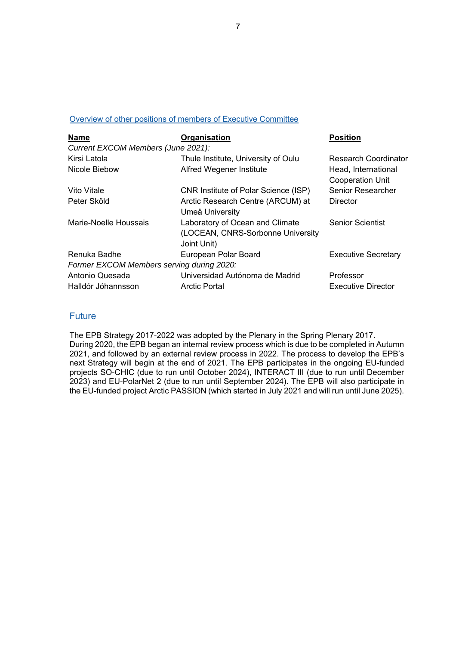#### Overview of other positions of members of Executive Committee

| <b>Name</b>                               | Organisation                                                                        | <b>Position</b>                                |
|-------------------------------------------|-------------------------------------------------------------------------------------|------------------------------------------------|
| Current EXCOM Members (June 2021):        |                                                                                     |                                                |
| Kirsi Latola                              | Thule Institute, University of Oulu                                                 | <b>Research Coordinator</b>                    |
| Nicole Biebow                             | Alfred Wegener Institute                                                            | Head, International<br><b>Cooperation Unit</b> |
| Vito Vitale                               | CNR Institute of Polar Science (ISP)                                                | <b>Senior Researcher</b>                       |
| Peter Sköld                               | Arctic Research Centre (ARCUM) at<br>Umeå University                                | <b>Director</b>                                |
| Marie-Noelle Houssais                     | Laboratory of Ocean and Climate<br>(LOCEAN, CNRS-Sorbonne University<br>Joint Unit) | <b>Senior Scientist</b>                        |
| Renuka Badhe                              | European Polar Board                                                                | <b>Executive Secretary</b>                     |
| Former EXCOM Members serving during 2020: |                                                                                     |                                                |
| Antonio Quesada                           | Universidad Autónoma de Madrid                                                      | Professor                                      |
| Halldór Jóhannsson                        | <b>Arctic Portal</b>                                                                | <b>Executive Director</b>                      |

#### Future

The EPB Strategy 2017-2022 was adopted by the Plenary in the Spring Plenary 2017. During 2020, the EPB began an internal review process which is due to be completed in Autumn 2021, and followed by an external review process in 2022. The process to develop the EPB's next Strategy will begin at the end of 2021. The EPB participates in the ongoing EU-funded projects SO-CHIC (due to run until October 2024), INTERACT III (due to run until December 2023) and EU-PolarNet 2 (due to run until September 2024). The EPB will also participate in the EU-funded project Arctic PASSION (which started in July 2021 and will run until June 2025).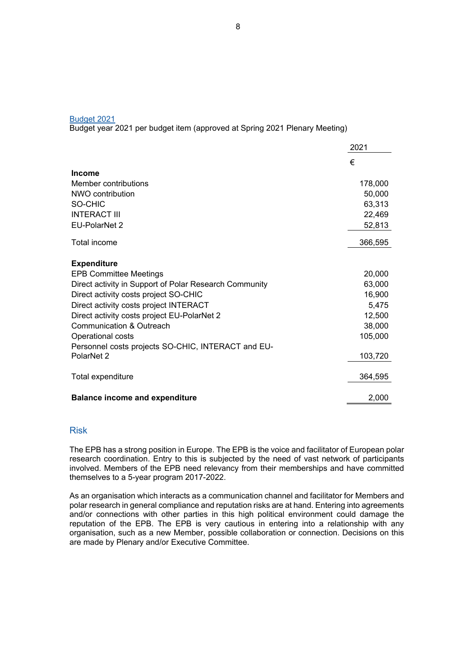#### Budget 2021

Budget year 2021 per budget item (approved at Spring 2021 Plenary Meeting)

|                                                        | 2021    |
|--------------------------------------------------------|---------|
|                                                        | €       |
| <b>Income</b>                                          |         |
| Member contributions                                   | 178,000 |
| NWO contribution                                       | 50,000  |
| SO-CHIC                                                | 63,313  |
| <b>INTERACT III</b>                                    | 22,469  |
| <b>EU-PolarNet 2</b>                                   | 52,813  |
| Total income                                           | 366,595 |
| <b>Expenditure</b>                                     |         |
| <b>EPB Committee Meetings</b>                          | 20,000  |
| Direct activity in Support of Polar Research Community | 63,000  |
| Direct activity costs project SO-CHIC                  | 16,900  |
| Direct activity costs project INTERACT                 | 5,475   |
| Direct activity costs project EU-PolarNet 2            | 12,500  |
| <b>Communication &amp; Outreach</b>                    | 38,000  |
| Operational costs                                      | 105,000 |
| Personnel costs projects SO-CHIC, INTERACT and EU-     |         |
| PolarNet 2                                             | 103,720 |
| Total expenditure                                      | 364,595 |
| <b>Balance income and expenditure</b>                  | 2,000   |

#### Risk

The EPB has a strong position in Europe. The EPB is the voice and facilitator of European polar research coordination. Entry to this is subjected by the need of vast network of participants involved. Members of the EPB need relevancy from their memberships and have committed themselves to a 5-year program 2017-2022.

As an organisation which interacts as a communication channel and facilitator for Members and polar research in general compliance and reputation risks are at hand. Entering into agreements and/or connections with other parties in this high political environment could damage the reputation of the EPB. The EPB is very cautious in entering into a relationship with any organisation, such as a new Member, possible collaboration or connection. Decisions on this are made by Plenary and/or Executive Committee.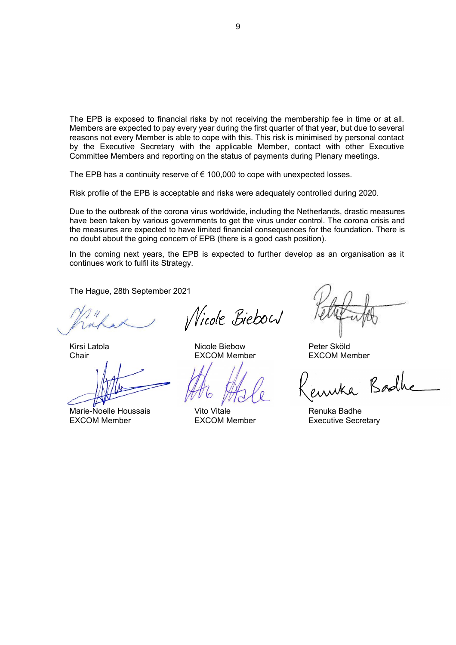The EPB is exposed to financial risks by not receiving the membership fee in time or at all. Members are expected to pay every year during the first quarter of that year, but due to several reasons not every Member is able to cope with this. This risk is minimised by personal contact by the Executive Secretary with the applicable Member, contact with other Executive Committee Members and reporting on the status of payments during Plenary meetings.

The EPB has a continuity reserve of  $\epsilon$  100,000 to cope with unexpected losses.

Risk profile of the EPB is acceptable and risks were adequately controlled during 2020.

Due to the outbreak of the corona virus worldwide, including the Netherlands, drastic measures have been taken by various governments to get the virus under control. The corona crisis and the measures are expected to have limited financial consequences for the foundation. There is no doubt about the going concern of EPB (there is a good cash position).

In the coming next years, the EPB is expected to further develop as an organisation as it continues work to fulfil its Strategy.

The Hague, 28th September 2021

Marie-Noelle Houssais **Nito Vitale Renuka Badhe** Renuka Badhe EXCOM Member **EXCOM Member** EXCOM Member **EXCOM** 

*Nicole Biebow* 

Kirsi Latola **Nicole Biebow** Peter Sköld

Chair EXCOM Member EXCOM Member

wka Bodh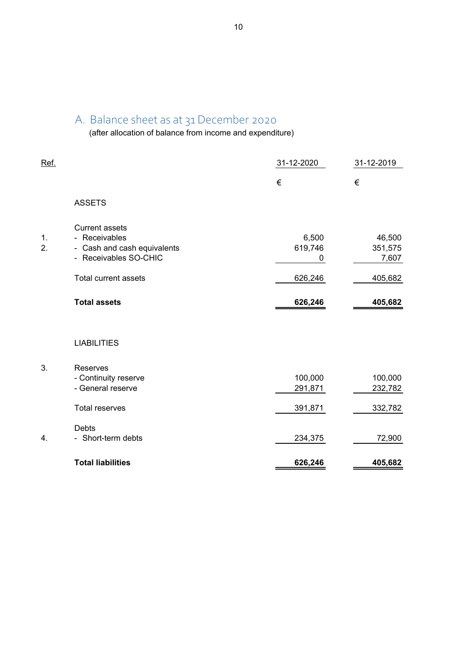### A. Balance sheet as at 31 December 2020

(after allocation of balance from income and expenditure)

| Ref.     |                                                                                                                               | 31-12-2020                       | 31-12-2019                            |
|----------|-------------------------------------------------------------------------------------------------------------------------------|----------------------------------|---------------------------------------|
|          |                                                                                                                               | €                                | €                                     |
|          | <b>ASSETS</b>                                                                                                                 |                                  |                                       |
| 1.<br>2. | <b>Current assets</b><br>- Receivables<br>- Cash and cash equivalents<br>- Receivables SO-CHIC<br><b>Total current assets</b> | 6,500<br>619,746<br>0<br>626,246 | 46,500<br>351,575<br>7,607<br>405,682 |
|          | <b>Total assets</b>                                                                                                           | 626,246                          | 405,682                               |
|          | <b>LIABILITIES</b>                                                                                                            |                                  |                                       |
| 3.       | Reserves<br>- Continuity reserve<br>- General reserve                                                                         | 100,000<br>291,871               | 100,000<br>232,782                    |
|          | <b>Total reserves</b>                                                                                                         | 391,871                          | 332,782                               |
| 4.       | Debts<br>- Short-term debts                                                                                                   | 234,375                          | 72,900                                |
|          | <b>Total liabilities</b>                                                                                                      | 626,246                          | 405,682                               |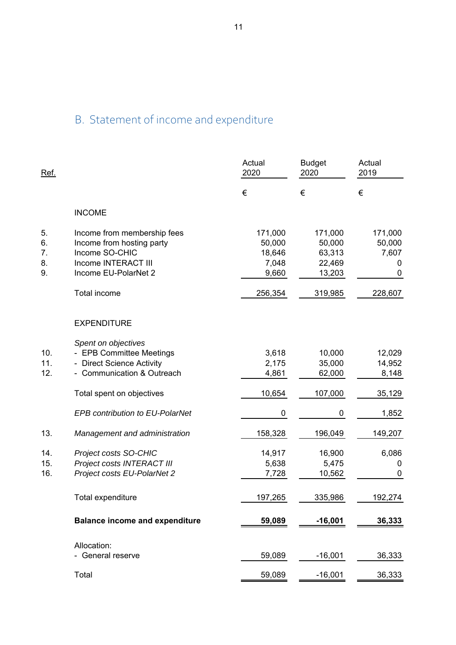# B. Statement of income and expenditure

| Ref.                       |                                                                                                                           | Actual<br>2020                                | <b>Budget</b><br>2020                           | Actual<br>2019                       |
|----------------------------|---------------------------------------------------------------------------------------------------------------------------|-----------------------------------------------|-------------------------------------------------|--------------------------------------|
|                            |                                                                                                                           | €                                             | €                                               | €                                    |
|                            | <b>INCOME</b>                                                                                                             |                                               |                                                 |                                      |
| 5.<br>6.<br>7.<br>8.<br>9. | Income from membership fees<br>Income from hosting party<br>Income SO-CHIC<br>Income INTERACT III<br>Income EU-PolarNet 2 | 171,000<br>50,000<br>18,646<br>7,048<br>9,660 | 171,000<br>50,000<br>63,313<br>22,469<br>13,203 | 171,000<br>50,000<br>7,607<br>0<br>0 |
|                            | Total income                                                                                                              | 256,354                                       | 319,985                                         | 228,607                              |
|                            | <b>EXPENDITURE</b>                                                                                                        |                                               |                                                 |                                      |
| 10.<br>11.<br>12.          | Spent on objectives<br>- EPB Committee Meetings<br>- Direct Science Activity<br>- Communication & Outreach                | 3,618<br>2,175<br>4,861                       | 10,000<br>35,000<br>62,000                      | 12,029<br>14,952<br>8,148            |
|                            | Total spent on objectives                                                                                                 | 10,654                                        | 107,000                                         | 35,129                               |
|                            | EPB contribution to EU-PolarNet                                                                                           | 0                                             | 0                                               | 1,852                                |
| 13.                        | Management and administration                                                                                             | 158,328                                       | 196,049                                         | 149,207                              |
| 14.<br>15.<br>16.          | Project costs SO-CHIC<br>Project costs INTERACT III<br>Project costs EU-PolarNet 2                                        | 14,917<br>5,638<br>7,728                      | 16,900<br>5,475<br>10,562                       | 6,086<br>0<br>0                      |
|                            | Total expenditure                                                                                                         | 197,265                                       | 335,986                                         | 192,274                              |
|                            | <b>Balance income and expenditure</b>                                                                                     | 59,089                                        | $-16,001$                                       | 36,333                               |
|                            | Allocation:<br>- General reserve                                                                                          | 59,089                                        | $-16,001$                                       | 36,333                               |
|                            | Total                                                                                                                     | 59,089                                        | $-16,001$                                       | 36,333                               |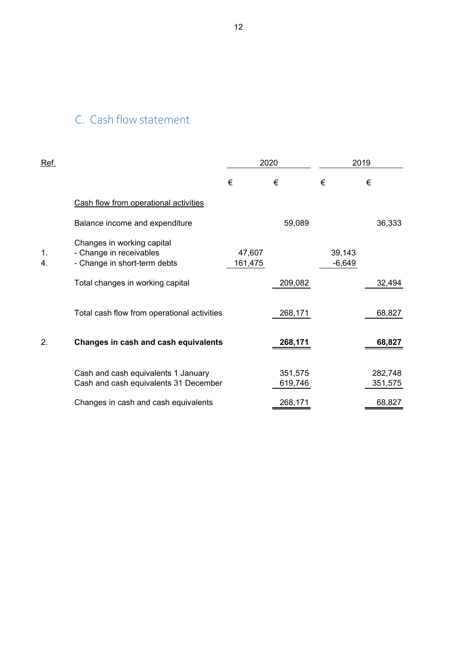# C. Cash flow statement

| <u>Ref.</u> |                                                                                       |                   | 2020               |                    | 2019               |
|-------------|---------------------------------------------------------------------------------------|-------------------|--------------------|--------------------|--------------------|
|             |                                                                                       | €                 | €                  | €                  | €                  |
|             | Cash flow from operational activities                                                 |                   |                    |                    |                    |
|             | Balance income and expenditure                                                        |                   | 59,089             |                    | 36,333             |
| 1.<br>4.    | Changes in working capital<br>- Change in receivables<br>- Change in short-term debts | 47,607<br>161,475 |                    | 39,143<br>$-6,649$ |                    |
|             | Total changes in working capital                                                      |                   | 209,082            |                    | 32,494             |
|             | Total cash flow from operational activities                                           |                   | 268,171            |                    | 68,827             |
| 2.          | Changes in cash and cash equivalents                                                  |                   | 268,171            |                    | 68,827             |
|             | Cash and cash equivalents 1 January<br>Cash and cash equivalents 31 December          |                   | 351,575<br>619,746 |                    | 282,748<br>351,575 |
|             | Changes in cash and cash equivalents                                                  |                   | 268,171            |                    | 68,827             |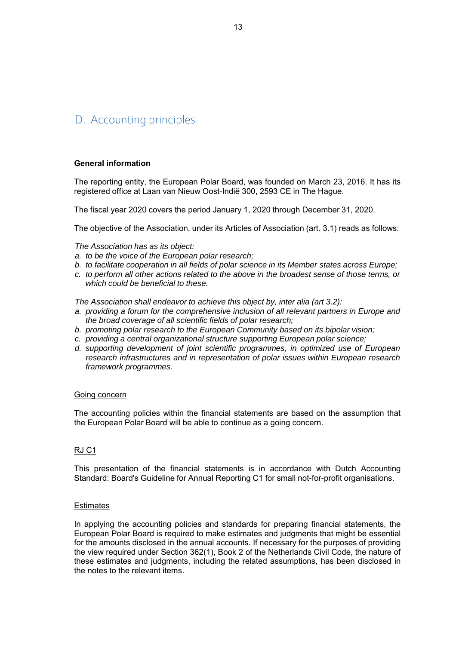## D. Accounting principles

#### **General information**

The reporting entity, the European Polar Board, was founded on March 23, 2016. It has its registered office at Laan van Nieuw Oost-Indië 300, 2593 CE in The Hague.

The fiscal year 2020 covers the period January 1, 2020 through December 31, 2020.

The objective of the Association, under its Articles of Association (art. 3.1) reads as follows:

*The Association has as its object:*

- *a. to be the voice of the European polar research;*
- *b. to facilitate cooperation in all fields of polar science in its Member states across Europe;*
- *c. to perform all other actions related to the above in the broadest sense of those terms, or which could be beneficial to these.*

*The Association shall endeavor to achieve this object by, inter alia (art 3.2):* 

- a. providing a forum for the comprehensive inclusion of all relevant partners in Europe and *the broad coverage of all scientific fields of polar research;*
- *b. promoting polar research to the European Community based on its bipolar vision;*
- *c. providing a central organizational structure supporting European polar science;*
- *d. supporting development of joint scientific programmes, in optimized use of European research infrastructures and in representation of polar issues within European research framework programmes.*

#### Going concern

The accounting policies within the financial statements are based on the assumption that the European Polar Board will be able to continue as a going concern.

#### RJ C1

This presentation of the financial statements is in accordance with Dutch Accounting Standard: Board's Guideline for Annual Reporting C1 for small not-for-profit organisations.

#### **Estimates**

In applying the accounting policies and standards for preparing financial statements, the European Polar Board is required to make estimates and judgments that might be essential for the amounts disclosed in the annual accounts. If necessary for the purposes of providing the view required under Section 362(1), Book 2 of the Netherlands Civil Code, the nature of these estimates and judgments, including the related assumptions, has been disclosed in the notes to the relevant items.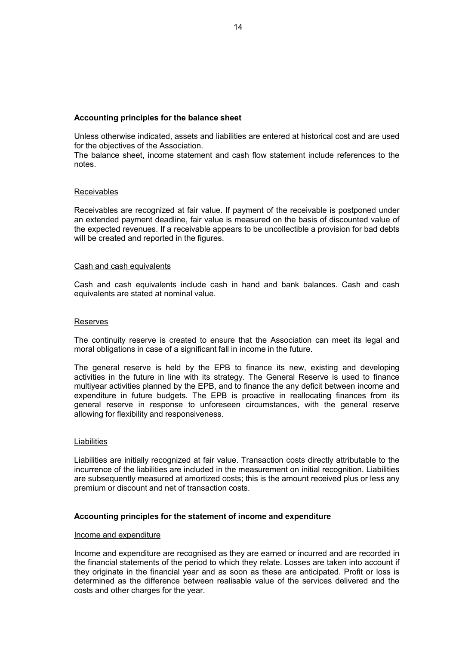#### **Accounting principles for the balance sheet**

Unless otherwise indicated, assets and liabilities are entered at historical cost and are used for the objectives of the Association.

The balance sheet, income statement and cash flow statement include references to the notes.

#### Receivables

Receivables are recognized at fair value. If payment of the receivable is postponed under an extended payment deadline, fair value is measured on the basis of discounted value of the expected revenues. If a receivable appears to be uncollectible a provision for bad debts will be created and reported in the figures.

#### Cash and cash equivalents

Cash and cash equivalents include cash in hand and bank balances. Cash and cash equivalents are stated at nominal value.

#### Reserves

The continuity reserve is created to ensure that the Association can meet its legal and moral obligations in case of a significant fall in income in the future.

The general reserve is held by the EPB to finance its new, existing and developing activities in the future in line with its strategy. The General Reserve is used to finance multiyear activities planned by the EPB, and to finance the any deficit between income and expenditure in future budgets. The EPB is proactive in reallocating finances from its general reserve in response to unforeseen circumstances, with the general reserve allowing for flexibility and responsiveness.

#### **Liabilities**

Liabilities are initially recognized at fair value. Transaction costs directly attributable to the incurrence of the liabilities are included in the measurement on initial recognition. Liabilities are subsequently measured at amortized costs; this is the amount received plus or less any premium or discount and net of transaction costs.

#### **Accounting principles for the statement of income and expenditure**

#### Income and expenditure

Income and expenditure are recognised as they are earned or incurred and are recorded in the financial statements of the period to which they relate. Losses are taken into account if they originate in the financial year and as soon as these are anticipated. Profit or loss is determined as the difference between realisable value of the services delivered and the costs and other charges for the year.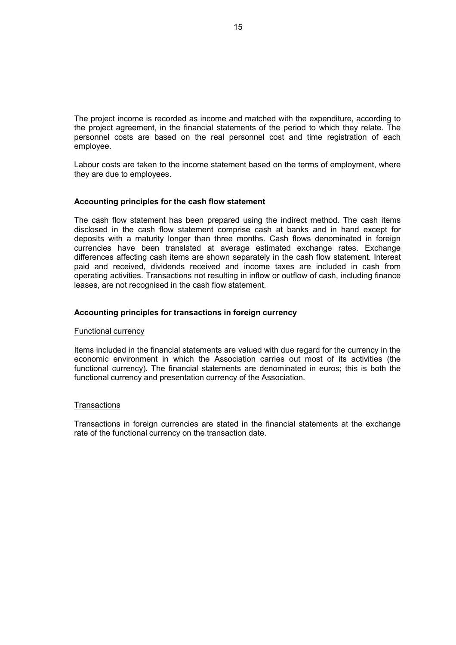The project income is recorded as income and matched with the expenditure, according to the project agreement, in the financial statements of the period to which they relate. The personnel costs are based on the real personnel cost and time registration of each employee.

Labour costs are taken to the income statement based on the terms of employment, where they are due to employees.

#### **Accounting principles for the cash flow statement**

The cash flow statement has been prepared using the indirect method. The cash items disclosed in the cash flow statement comprise cash at banks and in hand except for deposits with a maturity longer than three months. Cash flows denominated in foreign currencies have been translated at average estimated exchange rates. Exchange differences affecting cash items are shown separately in the cash flow statement. Interest paid and received, dividends received and income taxes are included in cash from operating activities. Transactions not resulting in inflow or outflow of cash, including finance leases, are not recognised in the cash flow statement.

#### **Accounting principles for transactions in foreign currency**

#### Functional currency

Items included in the financial statements are valued with due regard for the currency in the economic environment in which the Association carries out most of its activities (the functional currency). The financial statements are denominated in euros; this is both the functional currency and presentation currency of the Association.

#### **Transactions**

Transactions in foreign currencies are stated in the financial statements at the exchange rate of the functional currency on the transaction date.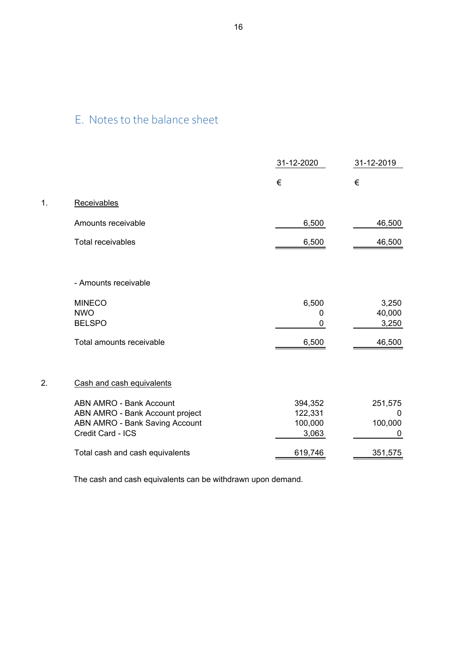# E. Notes to the balance sheet

1. Receivables

|                  |                                                                                                                                 | 31-12-2020                             | 31-12-2019                   |
|------------------|---------------------------------------------------------------------------------------------------------------------------------|----------------------------------------|------------------------------|
|                  |                                                                                                                                 | €                                      | €                            |
| 1.               | Receivables                                                                                                                     |                                        |                              |
|                  | Amounts receivable                                                                                                              | 6,500                                  | 46,500                       |
|                  | <b>Total receivables</b>                                                                                                        | 6,500                                  | 46,500                       |
|                  |                                                                                                                                 |                                        |                              |
|                  | - Amounts receivable                                                                                                            |                                        |                              |
|                  | <b>MINECO</b><br><b>NWO</b><br><b>BELSPO</b>                                                                                    | 6,500<br>0<br>0                        | 3,250<br>40,000<br>3,250     |
|                  | Total amounts receivable                                                                                                        | 6,500                                  | 46,500                       |
|                  |                                                                                                                                 |                                        |                              |
| $\overline{2}$ . | Cash and cash equivalents                                                                                                       |                                        |                              |
|                  | <b>ABN AMRO - Bank Account</b><br>ABN AMRO - Bank Account project<br><b>ABN AMRO - Bank Saving Account</b><br>Credit Card - ICS | 394,352<br>122,331<br>100,000<br>3,063 | 251,575<br>0<br>100,000<br>0 |
|                  | Total cash and cash equivalents                                                                                                 | 619,746                                | 351,575                      |

The cash and cash equivalents can be withdrawn upon demand.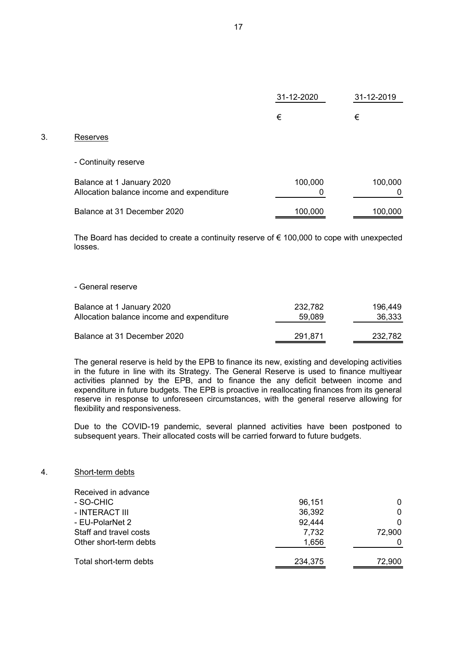|                                                                        | 31-12-2020 | 31-12-2019   |
|------------------------------------------------------------------------|------------|--------------|
|                                                                        | €          | €            |
| Reserves                                                               |            |              |
| - Continuity reserve                                                   |            |              |
| Balance at 1 January 2020<br>Allocation balance income and expenditure | 100,000    | 100,000<br>0 |
| Balance at 31 December 2020                                            | 100,000    | 100,000      |

The Board has decided to create a continuity reserve of  $\epsilon$  100,000 to cope with unexpected losses.

#### - General reserve

 $3.$ 

| Balance at 1 January 2020                 | 232.782 | 196.449 |
|-------------------------------------------|---------|---------|
| Allocation balance income and expenditure | 59,089  | 36,333  |
| Balance at 31 December 2020               | 291.871 | 232,782 |

The general reserve is held by the EPB to finance its new, existing and developing activities in the future in line with its Strategy. The General Reserve is used to finance multiyear activities planned by the EPB, and to finance the any deficit between income and expenditure in future budgets. The EPB is proactive in reallocating finances from its general reserve in response to unforeseen circumstances, with the general reserve allowing for flexibility and responsiveness.

Due to the COVID-19 pandemic, several planned activities have been postponed to subsequent years. Their allocated costs will be carried forward to future budgets.

#### 4. Short-term debts

| Received in advance    |         |        |
|------------------------|---------|--------|
| - SO-CHIC              | 96,151  | 0      |
| - INTERACT III         | 36,392  | 0      |
| - EU-PolarNet 2        | 92,444  | 0      |
| Staff and travel costs | 7,732   | 72,900 |
| Other short-term debts | 1,656   |        |
| Total short-term debts | 234,375 | 72,900 |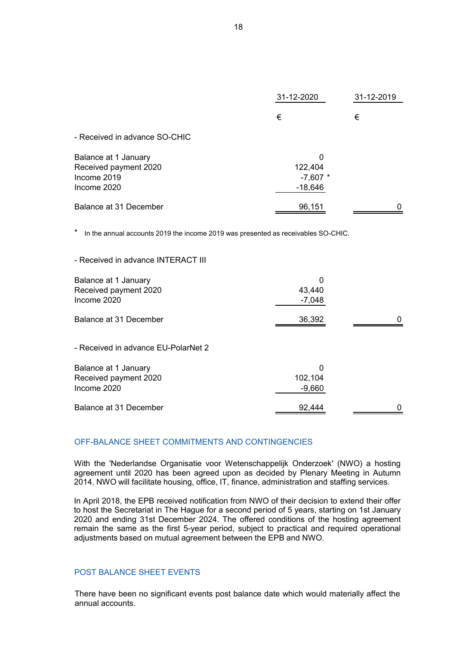|                                                                             | 31-12-2020                              | 31-12-2019 |  |
|-----------------------------------------------------------------------------|-----------------------------------------|------------|--|
|                                                                             | €                                       | €          |  |
| - Received in advance SO-CHIC                                               |                                         |            |  |
| Balance at 1 January<br>Received payment 2020<br>Income 2019<br>Income 2020 | 0<br>122,404<br>$-7,607$ *<br>$-18,646$ |            |  |
| Balance at 31 December                                                      | 96,151                                  |            |  |

\* In the annual accounts 2019 the income 2019 was presented as receivables SO-CHIC.

| Balance at 1 January<br>Received payment 2020<br>Income 2020 | 0<br>43,440<br>$-7,048$  |  |
|--------------------------------------------------------------|--------------------------|--|
| Balance at 31 December                                       | 36,392                   |  |
| - Received in advance EU-PolarNet 2                          |                          |  |
| Balance at 1 January<br>Received payment 2020<br>Income 2020 | 0<br>102,104<br>$-9,660$ |  |
| Balance at 31 December                                       | 92,444                   |  |

#### OFF-BALANCE SHEET COMMITMENTS AND CONTINGENCIES

With the 'Nederlandse Organisatie voor Wetenschappelijk Onderzoek' (NWO) a hosting agreement until 2020 has been agreed upon as decided by Plenary Meeting in Autumn 2014. NWO will facilitate housing, office, IT, finance, administration and staffing services.

In April 2018, the EPB received notification from NWO of their decision to extend their offer to host the Secretariat in The Hague for a second period of 5 years, starting on 1st January 2020 and ending 31st December 2024. The offered conditions of the hosting agreement remain the same as the first 5-year period, subject to practical and required operational adjustments based on mutual agreement between the EPB and NWO.

#### POST BALANCE SHEET EVENTS

- Received in advance INTERACT III

There have been no significant events post balance date which would materially affect the annual accounts.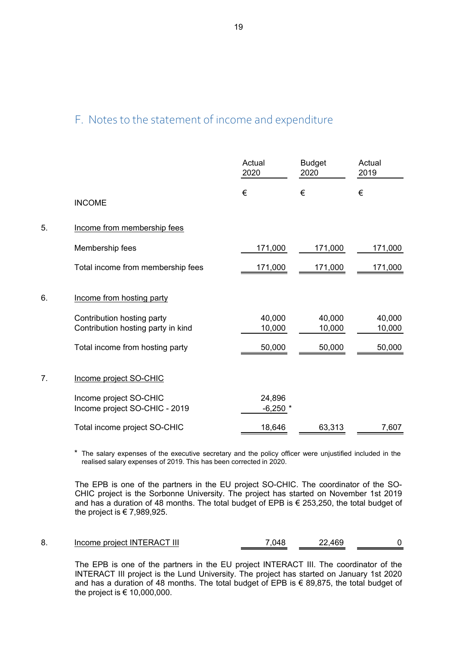# F. Notes to the statement of income and expenditure

|    |                                                                  | Actual<br>2020      | <b>Budget</b><br>2020 | Actual<br>2019   |
|----|------------------------------------------------------------------|---------------------|-----------------------|------------------|
|    | <b>INCOME</b>                                                    | €                   | €                     | €                |
| 5. | Income from membership fees                                      |                     |                       |                  |
|    | Membership fees                                                  | 171,000             | 171,000               | 171,000          |
|    | Total income from membership fees                                | 171,000             | 171,000               | 171,000          |
| 6. | Income from hosting party                                        |                     |                       |                  |
|    | Contribution hosting party<br>Contribution hosting party in kind | 40,000<br>10,000    | 40,000<br>10,000      | 40,000<br>10,000 |
|    | Total income from hosting party                                  | 50,000              | 50,000                | 50,000           |
| 7. | Income project SO-CHIC                                           |                     |                       |                  |
|    | Income project SO-CHIC<br>Income project SO-CHIC - 2019          | 24,896<br>$-6,250*$ |                       |                  |
|    | Total income project SO-CHIC                                     | 18,646              | 63,313                | 7,607            |

\* The salary expenses of the executive secretary and the policy officer were unjustified included in the realised salary expenses of 2019. This has been corrected in 2020.

The EPB is one of the partners in the EU project SO-CHIC. The coordinator of the SO-CHIC project is the Sorbonne University. The project has started on November 1st 2019 and has a duration of 48 months. The total budget of EPB is € 253,250, the total budget of the project is  $\in 7,989,925$ .

The EPB is one of the partners in the EU project INTERACT III. The coordinator of the INTERACT III project is the Lund University. The project has started on January 1st 2020 and has a duration of 48 months. The total budget of EPB is € 89,875, the total budget of the project is  $\epsilon$  10,000,000.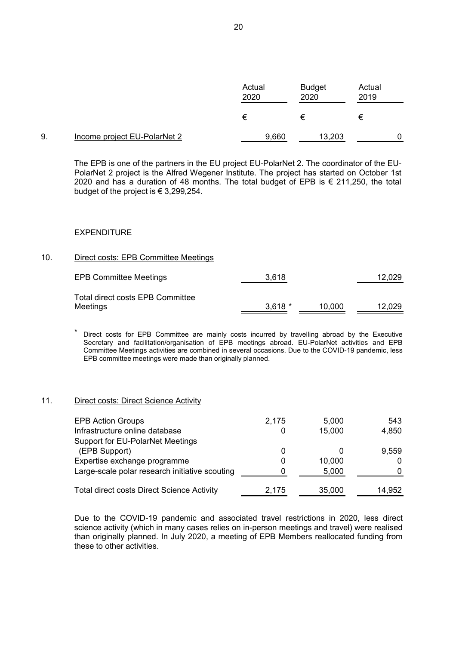|    |                              | Actual<br>2020 | <b>Budget</b><br>2020 | Actual<br>2019 |  |
|----|------------------------------|----------------|-----------------------|----------------|--|
|    |                              | €              | €                     | €              |  |
| 9. | Income project EU-PolarNet 2 | 9,660          | 13,203                |                |  |

The EPB is one of the partners in the EU project EU-PolarNet 2. The coordinator of the EU-PolarNet 2 project is the Alfred Wegener Institute. The project has started on October 1st 2020 and has a duration of 48 months. The total budget of EPB is € 211,250, the total budget of the project is € 3,299,254.

#### EXPENDITURE

#### 10. Direct costs: EPB Committee Meetings

| <b>EPB Committee Meetings</b>                | 3,618    |        | 12,029 |
|----------------------------------------------|----------|--------|--------|
| Total direct costs EPB Committee<br>Meetings | $3,618*$ | 10.000 | 12,029 |

\* Direct costs for EPB Committee are mainly costs incurred by travelling abroad by the Executive Secretary and facilitation/organisation of EPB meetings abroad. EU-PolarNet activities and EPB Committee Meetings activities are combined in several occasions. Due to the COVID-19 pandemic, less EPB committee meetings were made than originally planned.

#### 11. Direct costs: Direct Science Activity

| <b>EPB Action Groups</b>                          | 2,175 | 5,000  | 543    |
|---------------------------------------------------|-------|--------|--------|
| Infrastructure online database                    |       | 15,000 | 4,850  |
| Support for EU-PolarNet Meetings                  |       |        |        |
| (EPB Support)                                     |       |        | 9,559  |
| Expertise exchange programme                      |       | 10,000 |        |
| Large-scale polar research initiative scouting    |       | 5,000  |        |
| <b>Total direct costs Direct Science Activity</b> | 2,175 | 35,000 | 14,952 |

Due to the COVID-19 pandemic and associated travel restrictions in 2020, less direct science activity (which in many cases relies on in-person meetings and travel) were realised than originally planned. In July 2020, a meeting of EPB Members reallocated funding from these to other activities.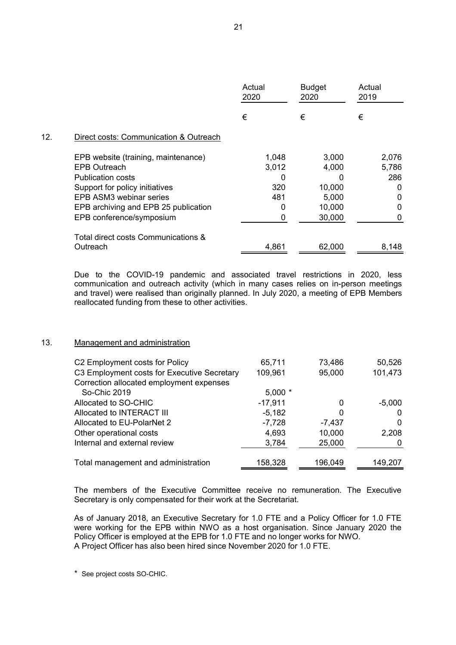|     |                                        | Actual<br>2020 | <b>Budget</b><br>2020 | Actual<br>2019 |
|-----|----------------------------------------|----------------|-----------------------|----------------|
|     |                                        | €              | €                     | €              |
| 12. | Direct costs: Communication & Outreach |                |                       |                |
|     | EPB website (training, maintenance)    | 1,048          | 3,000                 | 2,076          |
|     | <b>EPB Outreach</b>                    | 3,012          | 4,000                 | 5,786          |
|     | <b>Publication costs</b>               |                |                       | 286            |
|     | Support for policy initiatives         | 320            | 10,000                | 0              |
|     | EPB ASM3 webinar series                | 481            | 5,000                 | 0              |
|     | EPB archiving and EPB 25 publication   |                | 10,000                | 0              |
|     | EPB conference/symposium               | 0              | 30,000                | 0              |
|     | Total direct costs Communications &    |                |                       |                |
|     | Outreach                               | 4,861          | 62,000                | 8,148          |

Due to the COVID-19 pandemic and associated travel restrictions in 2020, less communication and outreach activity (which in many cases relies on in-person meetings and travel) were realised than originally planned. In July 2020, a meeting of EPB Members reallocated funding from these to other activities.

#### 13. Management and administration

| C2 Employment costs for Policy              | 65,711    | 73,486   | 50,526   |
|---------------------------------------------|-----------|----------|----------|
| C3 Employment costs for Executive Secretary | 109,961   | 95,000   | 101,473  |
| Correction allocated employment expenses    |           |          |          |
| So-Chic 2019                                | $5,000*$  |          |          |
| Allocated to SO-CHIC                        | $-17,911$ |          | $-5,000$ |
| Allocated to INTERACT III                   | $-5,182$  | 0        | 0        |
| Allocated to EU-PolarNet 2                  | $-7,728$  | $-7,437$ | 0        |
| Other operational costs                     | 4,693     | 10,000   | 2,208    |
| Internal and external review                | 3,784     | 25,000   |          |
| Total management and administration         | 158,328   | 196,049  | 149,207  |

The members of the Executive Committee receive no remuneration. The Executive Secretary is only compensated for their work at the Secretariat.

As of January 2018, an Executive Secretary for 1.0 FTE and a Policy Officer for 1.0 FTE were working for the EPB within NWO as a host organisation. Since January 2020 the Policy Officer is employed at the EPB for 1.0 FTE and no longer works for NWO. A Project Officer has also been hired since November 2020 for 1.0 FTE.

\* See project costs SO-CHIC.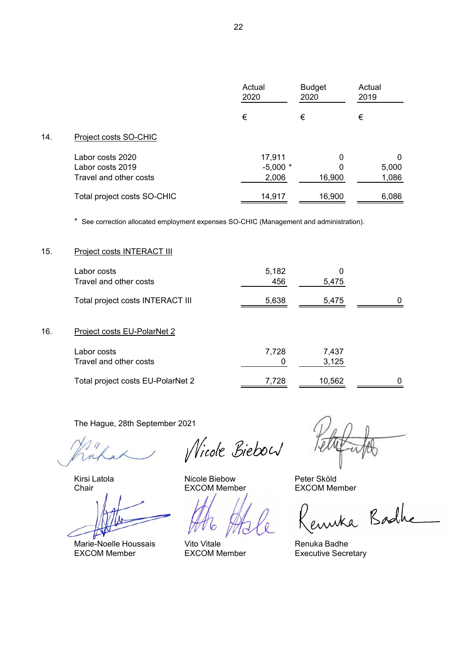|     |                             | Actual<br>2020 | <b>Budget</b><br>2020 | Actual<br>2019 |
|-----|-----------------------------|----------------|-----------------------|----------------|
|     |                             | €              | €                     | €              |
| 14. | Project costs SO-CHIC       |                |                       |                |
|     | Labor costs 2020            | 17,911         | 0                     | 0              |
|     | Labor costs 2019            | $-5,000*$      | 0                     | 5,000          |
|     | Travel and other costs      | 2,006          | 16,900                | 1,086          |
|     | Total project costs SO-CHIC | 14,917         | 16,900                | 6,086          |

\* See correction allocated employment expenses SO-CHIC (Management and administration).

#### 15. Project costs INTERACT III

|     | Labor costs<br>Travel and other costs | 5,182<br>456 | 0<br>5,475     |          |
|-----|---------------------------------------|--------------|----------------|----------|
|     | Total project costs INTERACT III      | 5,638        | 5,475          | $\Omega$ |
| 16. | Project costs EU-PolarNet 2           |              |                |          |
|     | Labor costs<br>Travel and other costs | 7,728        | 7,437<br>3,125 |          |
|     | Total project costs EU-PolarNet 2     | 7,728        | 10,562         |          |

The Hague, 28th September 2021

Marie-Noelle Houssais Vito Vitale **Renuka Badhe** EXCOM Member **EXCOM Member** EXCOM Executive Secretary

*Nicole Biebou* 

Kirsi Latola **Nicole Biebow** Peter Sköld

Chair EXCOM Member EXCOM Member

enuka Badhe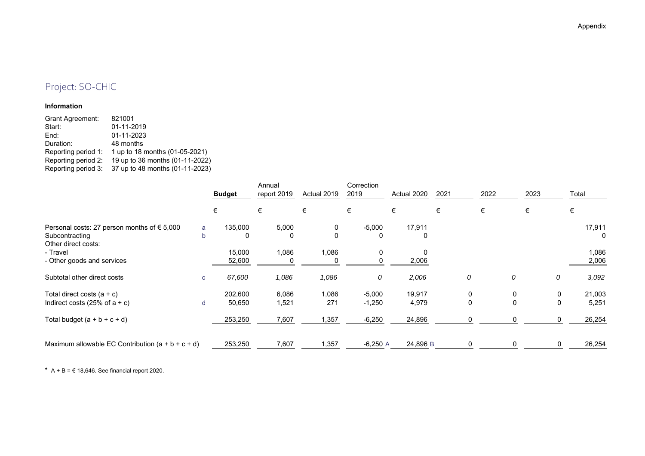## Project: SO-CHIC

#### **Information**

| <b>Grant Agreement:</b> | 821001                          |
|-------------------------|---------------------------------|
| Start:                  | 01-11-2019                      |
| End:                    | 01-11-2023                      |
| Duration:               | 48 months                       |
| Reporting period 1:     | 1 up to 18 months (01-05-2021)  |
| Reporting period 2:     | 19 up to 36 months (01-11-2022) |
| Reporting period 3:     | 37 up to 48 months (01-11-2023) |

|                                                      |              | <b>Budget</b> | Annual<br>report 2019 | Actual 2019  | Correction<br>2019 | Actual 2020 | 2021 | 2022 | 2023 |   | Total  |  |
|------------------------------------------------------|--------------|---------------|-----------------------|--------------|--------------------|-------------|------|------|------|---|--------|--|
|                                                      |              | €             | €                     | €            | €                  | €           | €    | €    | €    |   | €      |  |
| Personal costs: 27 person months of $\epsilon$ 5,000 | a            | 135,000       | 5,000                 | 0            | $-5,000$           | 17,911      |      |      |      |   | 17,911 |  |
| Subcontracting<br>Other direct costs:                | b            | 0             | 0                     | $\mathbf{0}$ | 0                  | 0           |      |      |      |   | 0      |  |
| - Travel                                             |              | 15,000        | 1,086                 | 1,086        | 0                  | 0           |      |      |      |   | 1,086  |  |
| - Other goods and services                           |              | 52,600        |                       |              |                    | 2,006       |      |      |      |   | 2,006  |  |
| Subtotal other direct costs                          | $\mathbf{C}$ | 67,600        | 1,086                 | 1,086        | 0                  | 2,006       |      | 0    | 0    | 0 | 3,092  |  |
| Total direct costs $(a + c)$                         |              | 202,600       | 6,086                 | 1,086        | $-5,000$           | 19,917      |      | 0    | 0    | 0 | 21,003 |  |
| Indirect costs (25% of $a + c$ )                     | d            | 50,650        | 1,521                 | 271          | $-1,250$           | 4,979       |      |      |      | 0 | 5,251  |  |
| Total budget $(a + b + c + d)$                       |              | 253,250       | 7,607                 | 1,357        | $-6,250$           | 24,896      |      |      |      | 0 | 26,254 |  |
| Maximum allowable EC Contribution $(a + b + c + d)$  |              | 253,250       | 7,607                 | ,357         | $-6,250$ A         | 24,896 B    |      |      |      |   | 26,254 |  |

\*  $A + B = \text{\textsterling} 18,646$ . See financial report 2020.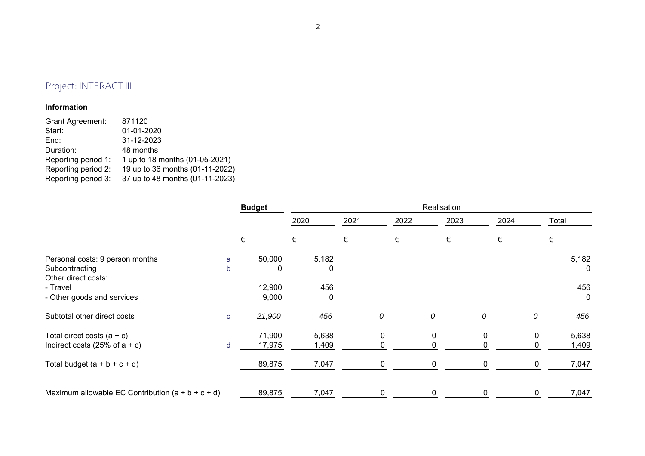# Project: INTERACT III

#### **Information**

| 1 up to 18 months (01-05-2021)  |
|---------------------------------|
| 19 up to 36 months (01-11-2022) |
| 37 up to 48 months (01-11-2023) |
|                                 |

|                                                     | <b>Budget</b> |        | Realisation |      |   |      |      |   |       |   |       |
|-----------------------------------------------------|---------------|--------|-------------|------|---|------|------|---|-------|---|-------|
|                                                     |               |        | 2020        | 2021 |   | 2022 | 2023 |   | 2024  |   | Total |
|                                                     |               | €      | €           | €    |   | €    | €    |   | $\in$ |   | €     |
| Personal costs: 9 person months                     | a             | 50,000 | 5,182       |      |   |      |      |   |       |   | 5,182 |
| Subcontracting<br>Other direct costs:               | b             | 0      | 0           |      |   |      |      |   |       |   | 0     |
| - Travel                                            |               | 12,900 | 456         |      |   |      |      |   |       |   | 456   |
| - Other goods and services                          |               | 9,000  |             |      |   |      |      |   |       |   | 0     |
| Subtotal other direct costs                         | $\mathbf{C}$  | 21,900 | 456         |      | 0 | 0    |      | 0 |       | 0 | 456   |
| Total direct costs $(a + c)$                        |               | 71,900 | 5,638       |      | 0 | 0    |      | 0 |       | 0 | 5,638 |
| Indirect costs (25% of $a + c$ )                    | d             | 17,975 | 1,409       |      | 0 |      |      | 0 |       |   | 1,409 |
| Total budget $(a + b + c + d)$                      |               | 89,875 | 7,047       |      | 0 |      |      | 0 |       |   | 7,047 |
| Maximum allowable EC Contribution $(a + b + c + d)$ |               | 89,875 | 7,047       |      | 0 | ი    |      | 0 |       |   | 7,047 |